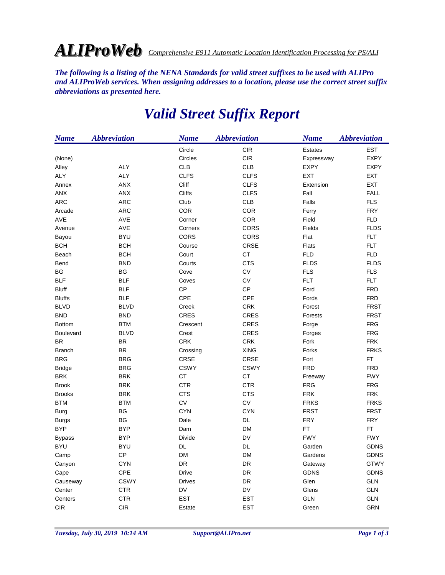## *ALIProWeb Comprehensive E911 Automatic Location Identification Processing for PS/ALI*

*The following is a listing of the NENA Standards for valid street suffixes to be used with ALIPro and ALIProWeb services. When assigning addresses to a location, please use the correct street suffix abbreviations as presented here.*

| <b>Name</b>   | <b>Abbreviation</b> | <b>Name</b>    | <b>Abbreviation</b> | <b>Name</b>    | <b>Abbreviation</b> |
|---------------|---------------------|----------------|---------------------|----------------|---------------------|
|               |                     | Circle         | <b>CIR</b>          | <b>Estates</b> | <b>EST</b>          |
| (None)        |                     | <b>Circles</b> | CIR                 | Expressway     | <b>EXPY</b>         |
| Alley         | <b>ALY</b>          | <b>CLB</b>     | <b>CLB</b>          | <b>EXPY</b>    | <b>EXPY</b>         |
| ALY           | <b>ALY</b>          | <b>CLFS</b>    | <b>CLFS</b>         | <b>EXT</b>     | EXT                 |
| Annex         | <b>ANX</b>          | Cliff          | <b>CLFS</b>         | Extension      | <b>EXT</b>          |
| ANX           | ANX                 | Cliffs         | <b>CLFS</b>         | Fall           | <b>FALL</b>         |
| <b>ARC</b>    | <b>ARC</b>          | Club           | <b>CLB</b>          | Falls          | <b>FLS</b>          |
| Arcade        | ARC                 | COR            | COR                 | Ferry          | <b>FRY</b>          |
| <b>AVE</b>    | AVE                 | Corner         | <b>COR</b>          | Field          | <b>FLD</b>          |
| Avenue        | AVE                 | Corners        | CORS                | Fields         | <b>FLDS</b>         |
| Bayou         | <b>BYU</b>          | CORS           | CORS                | Flat           | <b>FLT</b>          |
| <b>BCH</b>    | <b>BCH</b>          | Course         | CRSE                | <b>Flats</b>   | <b>FLT</b>          |
| Beach         | <b>BCH</b>          | Court          | CT                  | <b>FLD</b>     | <b>FLD</b>          |
| Bend          | <b>BND</b>          | Courts         | <b>CTS</b>          | <b>FLDS</b>    | <b>FLDS</b>         |
| BG            | BG                  | Cove           | ${\sf CV}$          | <b>FLS</b>     | <b>FLS</b>          |
| <b>BLF</b>    | <b>BLF</b>          | Coves          | ${\sf CV}$          | <b>FLT</b>     | <b>FLT</b>          |
| <b>Bluff</b>  | <b>BLF</b>          | CP             | CP                  | Ford           | <b>FRD</b>          |
| <b>Bluffs</b> | <b>BLF</b>          | CPE            | CPE                 | Fords          | <b>FRD</b>          |
| <b>BLVD</b>   | <b>BLVD</b>         | Creek          | <b>CRK</b>          | Forest         | <b>FRST</b>         |
| <b>BND</b>    | <b>BND</b>          | <b>CRES</b>    | <b>CRES</b>         | Forests        | <b>FRST</b>         |
| <b>Bottom</b> | <b>BTM</b>          | Crescent       | <b>CRES</b>         | Forge          | <b>FRG</b>          |
| Boulevard     | <b>BLVD</b>         | Crest          | <b>CRES</b>         | Forges         | <b>FRG</b>          |
| <b>BR</b>     | <b>BR</b>           | <b>CRK</b>     | <b>CRK</b>          | Fork           | <b>FRK</b>          |
| <b>Branch</b> | <b>BR</b>           | Crossing       | <b>XING</b>         | Forks          | <b>FRKS</b>         |
| <b>BRG</b>    | <b>BRG</b>          | CRSE           | CRSE                | Fort           | <b>FT</b>           |
| <b>Bridge</b> | <b>BRG</b>          | <b>CSWY</b>    | <b>CSWY</b>         | <b>FRD</b>     | <b>FRD</b>          |
| <b>BRK</b>    | <b>BRK</b>          | <b>CT</b>      | <b>CT</b>           | Freeway        | <b>FWY</b>          |
| <b>Brook</b>  | <b>BRK</b>          | <b>CTR</b>     | <b>CTR</b>          | <b>FRG</b>     | <b>FRG</b>          |
| <b>Brooks</b> | <b>BRK</b>          | <b>CTS</b>     | <b>CTS</b>          | <b>FRK</b>     | <b>FRK</b>          |
| <b>BTM</b>    | <b>BTM</b>          | CV             | CV                  | <b>FRKS</b>    | <b>FRKS</b>         |
| <b>Burg</b>   | ВG                  | <b>CYN</b>     | <b>CYN</b>          | <b>FRST</b>    | <b>FRST</b>         |
| <b>Burgs</b>  | BG                  | Dale           | DL                  | <b>FRY</b>     | <b>FRY</b>          |
| <b>BYP</b>    | <b>BYP</b>          | Dam            | <b>DM</b>           | FT.            | FT.                 |
| <b>Bypass</b> | <b>BYP</b>          | <b>Divide</b>  | DV                  | <b>FWY</b>     | <b>FWY</b>          |
| <b>BYU</b>    | <b>BYU</b>          | DL             | DL                  | Garden         | <b>GDNS</b>         |
| Camp          | <b>CP</b>           | <b>DM</b>      | <b>DM</b>           | Gardens        | <b>GDNS</b>         |
| Canyon        | <b>CYN</b>          | DR             | DR                  | Gateway        | <b>GTWY</b>         |
| Cape          | CPE                 | Drive          | DR                  | <b>GDNS</b>    | <b>GDNS</b>         |
| Causeway      | <b>CSWY</b>         | <b>Drives</b>  | DR                  | Glen           | <b>GLN</b>          |
| Center        | <b>CTR</b>          | DV             | DV                  | Glens          | GLN                 |
| Centers       | <b>CTR</b>          | <b>EST</b>     | <b>EST</b>          | <b>GLN</b>     | <b>GLN</b>          |
| <b>CIR</b>    | <b>CIR</b>          | Estate         | <b>EST</b>          | Green          | <b>GRN</b>          |

## *Valid Street Suffix Report*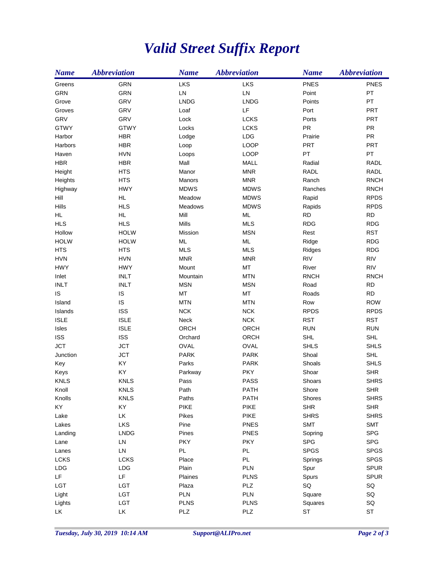## *Valid Street Suffix Report*

| <b>Name</b> | <b>Abbreviation</b> | <b>Name</b>    | <b>Abbreviation</b> | <b>Name</b> | <b>Abbreviation</b> |
|-------------|---------------------|----------------|---------------------|-------------|---------------------|
| Greens      | <b>GRN</b>          | LKS            | LKS                 | <b>PNES</b> | <b>PNES</b>         |
| <b>GRN</b>  | GRN                 | LN             | LN                  | Point       | PT                  |
| Grove       | GRV                 | <b>LNDG</b>    | <b>LNDG</b>         | Points      | PT                  |
| Groves      | GRV                 | Loaf           | LF                  | Port        | <b>PRT</b>          |
| GRV         | GRV                 | Lock           | <b>LCKS</b>         | Ports       | <b>PRT</b>          |
| <b>GTWY</b> | <b>GTWY</b>         | Locks          | <b>LCKS</b>         | PR          | <b>PR</b>           |
| Harbor      | <b>HBR</b>          | Lodge          | LDG                 | Prairie     | <b>PR</b>           |
| Harbors     | <b>HBR</b>          | Loop           | <b>LOOP</b>         | PRT         | <b>PRT</b>          |
| Haven       | <b>HVN</b>          | Loops          | <b>LOOP</b>         | PT          | PT                  |
| <b>HBR</b>  | <b>HBR</b>          | Mall           | MALL                | Radial      | <b>RADL</b>         |
| Height      | <b>HTS</b>          | Manor          | <b>MNR</b>          | RADL        | RADL                |
| Heights     | <b>HTS</b>          | Manors         | <b>MNR</b>          | Ranch       | <b>RNCH</b>         |
| Highway     | <b>HWY</b>          | <b>MDWS</b>    | <b>MDWS</b>         | Ranches     | <b>RNCH</b>         |
| Hill        | <b>HL</b>           | Meadow         | <b>MDWS</b>         | Rapid       | <b>RPDS</b>         |
| Hills       | <b>HLS</b>          | <b>Meadows</b> | <b>MDWS</b>         | Rapids      | <b>RPDS</b>         |
| HL.         | <b>HL</b>           | Mill           | ML                  | <b>RD</b>   | <b>RD</b>           |
| <b>HLS</b>  | <b>HLS</b>          | <b>Mills</b>   | <b>MLS</b>          | <b>RDG</b>  | <b>RDG</b>          |
| Hollow      | <b>HOLW</b>         | Mission        | <b>MSN</b>          | Rest        | <b>RST</b>          |
| <b>HOLW</b> | <b>HOLW</b>         | $ML$           | ML                  | Ridge       | <b>RDG</b>          |
| <b>HTS</b>  | <b>HTS</b>          | <b>MLS</b>     | <b>MLS</b>          | Ridges      | <b>RDG</b>          |
| <b>HVN</b>  | <b>HVN</b>          | <b>MNR</b>     | <b>MNR</b>          | <b>RIV</b>  | <b>RIV</b>          |
| <b>HWY</b>  | <b>HWY</b>          | Mount          | MT                  | River       | <b>RIV</b>          |
| Inlet       | <b>INLT</b>         | Mountain       | <b>MTN</b>          | <b>RNCH</b> | <b>RNCH</b>         |
| <b>INLT</b> | <b>INLT</b>         | <b>MSN</b>     | <b>MSN</b>          | Road        | <b>RD</b>           |
| IS          | IS                  | MT             | MT                  | Roads       | <b>RD</b>           |
| Island      | IS                  | <b>MTN</b>     | <b>MTN</b>          | Row         | <b>ROW</b>          |
| Islands     | <b>ISS</b>          | <b>NCK</b>     | <b>NCK</b>          | <b>RPDS</b> | <b>RPDS</b>         |
| <b>ISLE</b> | <b>ISLE</b>         | Neck           | <b>NCK</b>          | <b>RST</b>  | <b>RST</b>          |
| Isles       | <b>ISLE</b>         | ORCH           | ORCH                | <b>RUN</b>  | <b>RUN</b>          |
| <b>ISS</b>  | <b>ISS</b>          | Orchard        | ORCH                | <b>SHL</b>  | <b>SHL</b>          |
| <b>JCT</b>  | <b>JCT</b>          | OVAL           | OVAL                | <b>SHLS</b> | <b>SHLS</b>         |
| Junction    | <b>JCT</b>          | <b>PARK</b>    | <b>PARK</b>         | Shoal       | <b>SHL</b>          |
| Key         | KY                  | Parks          | <b>PARK</b>         | Shoals      | <b>SHLS</b>         |
| Keys        | KY                  | Parkway        | <b>PKY</b>          | Shoar       | <b>SHR</b>          |
| <b>KNLS</b> | <b>KNLS</b>         | Pass           | <b>PASS</b>         | Shoars      | <b>SHRS</b>         |
| Knoll       | <b>KNLS</b>         | Path           | <b>PATH</b>         | Shore       | <b>SHR</b>          |
| Knolls      | <b>KNLS</b>         | Paths          | <b>PATH</b>         | Shores      | <b>SHRS</b>         |
| KY          | KY                  | PIKE           | <b>PIKE</b>         | <b>SHR</b>  | <b>SHR</b>          |
| Lake        | LK                  | Pikes          | PIKE                | <b>SHRS</b> | <b>SHRS</b>         |
| Lakes       | LKS                 | Pine           | <b>PNES</b>         | <b>SMT</b>  | <b>SMT</b>          |
| Landing     | <b>LNDG</b>         | Pines          | <b>PNES</b>         | Sopring     | <b>SPG</b>          |
| Lane        | ${\sf LN}$          | <b>PKY</b>     | <b>PKY</b>          | <b>SPG</b>  | <b>SPG</b>          |
| Lanes       | ${\sf LN}$          | PL             | PL                  | <b>SPGS</b> | <b>SPGS</b>         |
| <b>LCKS</b> | LCKS                | Place          | PL                  | Springs     | <b>SPGS</b>         |
| LDG         | LDG                 | Plain          | PLN                 | Spur        | <b>SPUR</b>         |
| LF.         | LF                  | Plaines        | <b>PLNS</b>         | Spurs       | <b>SPUR</b>         |
| LGT         | LGT                 | Plaza          | PLZ                 | SQ          | SQ                  |
| Light       | LGT                 | PLN            | PLN                 | Square      | SQ                  |
| Lights      | LGT                 | <b>PLNS</b>    | <b>PLNS</b>         | Squares     | SQ                  |
| LK          | LK                  | PLZ            | PLZ                 | <b>ST</b>   | $\texttt{ST}$       |